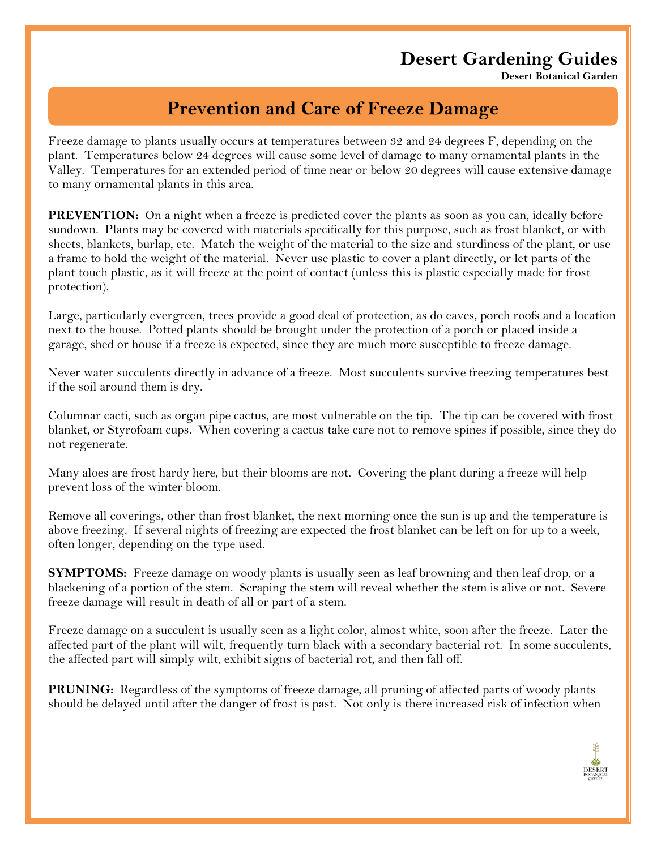## **Desert Gardening Guides**

**Desert Botanical Garden**

## **Prevention and Care of Freeze Damage**

Freeze damage to plants usually occurs at temperatures between 32 and 24 degrees F, depending on the plant. Temperatures below 24 degrees will cause some level of damage to many ornamental plants in the Valley. Temperatures for an extended period of time near or below 20 degrees will cause extensive damage to many ornamental plants in this area.

**PREVENTION:** On a night when a freeze is predicted cover the plants as soon as you can, ideally before sundown. Plants may be covered with materials specifically for this purpose, such as frost blanket, or with sheets, blankets, burlap, etc. Match the weight of the material to the size and sturdiness of the plant, or use a frame to hold the weight of the material. Never use plastic to cover a plant directly, or let parts of the plant touch plastic, as it will freeze at the point of contact (unless this is plastic especially made for frost protection).

Large, particularly evergreen, trees provide a good deal of protection, as do eaves, porch roofs and a location next to the house. Potted plants should be brought under the protection of a porch or placed inside a garage, shed or house if a freeze is expected, since they are much more susceptible to freeze damage.

Never water succulents directly in advance of a freeze. Most succulents survive freezing temperatures best if the soil around them is dry.

Columnar cacti, such as organ pipe cactus, are most vulnerable on the tip. The tip can be covered with frost blanket, or Styrofoam cups. When covering a cactus take care not to remove spines if possible, since they do not regenerate.

Many aloes are frost hardy here, but their blooms are not. Covering the plant during a freeze will help prevent loss of the winter bloom.

Remove all coverings, other than frost blanket, the next morning once the sun is up and the temperature is above freezing. If several nights of freezing are expected the frost blanket can be left on for up to a week, often longer, depending on the type used.

**SYMPTOMS:** Freeze damage on woody plants is usually seen as leaf browning and then leaf drop, or a blackening of a portion of the stem. Scraping the stem will reveal whether the stem is alive or not. Severe freeze damage will result in death of all or part of a stem.

Freeze damage on a succulent is usually seen as a light color, almost white, soon after the freeze. Later the affected part of the plant will wilt, frequently turn black with a secondary bacterial rot. In some succulents, the affected part will simply wilt, exhibit signs of bacterial rot, and then fall off.

**PRUNING:** Regardless of the symptoms of freeze damage, all pruning of affected parts of woody plants should be delayed until after the danger of frost is past. Not only is there increased risk of infection when